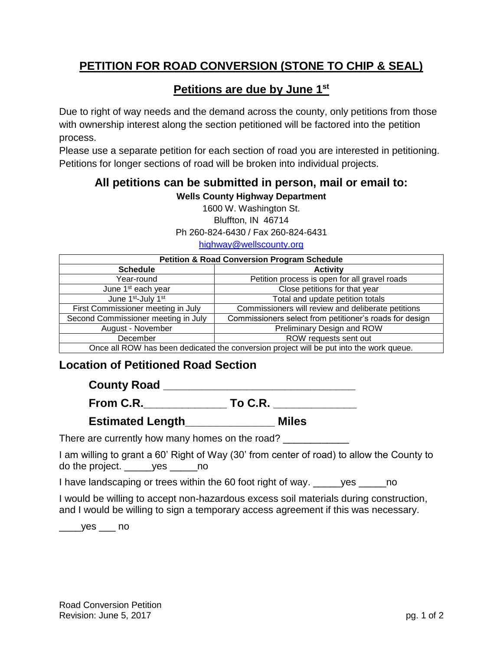## **PETITION FOR ROAD CONVERSION (STONE TO CHIP & SEAL)**

## **Petitions are due by June 1st**

Due to right of way needs and the demand across the county, only petitions from those with ownership interest along the section petitioned will be factored into the petition process.

Please use a separate petition for each section of road you are interested in petitioning. Petitions for longer sections of road will be broken into individual projects.

## **All petitions can be submitted in person, mail or email to: Wells County Highway Department**

1600 W. Washington St. Bluffton, IN 46714 Ph 260-824-6430 / Fax 260-824-6431

[highway@wellscounty.org](mailto:highway@wellscounty.org)

| <b>Petition &amp; Road Conversion Program Schedule</b>                                  |                                                         |  |  |
|-----------------------------------------------------------------------------------------|---------------------------------------------------------|--|--|
| <b>Schedule</b>                                                                         | <b>Activity</b>                                         |  |  |
| Year-round                                                                              | Petition process is open for all gravel roads           |  |  |
| June 1 <sup>st</sup> each year                                                          | Close petitions for that year                           |  |  |
| June 1st-July 1st                                                                       | Total and update petition totals                        |  |  |
| First Commissioner meeting in July                                                      | Commissioners will review and deliberate petitions      |  |  |
| Second Commissioner meeting in July                                                     | Commissioners select from petitioner's roads for design |  |  |
| August - November                                                                       | Preliminary Design and ROW                              |  |  |
| ROW requests sent out<br>December                                                       |                                                         |  |  |
| Once all ROW has been dedicated the conversion project will be put into the work queue. |                                                         |  |  |

## **Location of Petitioned Road Section**

**County Road \_\_\_\_\_\_\_\_\_\_\_\_\_\_\_\_\_\_\_\_\_\_\_\_\_\_\_\_\_\_**

| From C.R. | To C.R. |  |
|-----------|---------|--|
|           |         |  |

**Estimated Length\_\_\_\_\_\_\_\_\_\_\_\_\_\_ Miles**

There are currently how many homes on the road?

I am willing to grant a 60' Right of Way (30' from center of road) to allow the County to do the project. \_\_\_\_\_yes \_\_\_\_\_no

I have landscaping or trees within the 60 foot right of way. \_\_\_\_\_yes \_\_\_\_\_no

I would be willing to accept non-hazardous excess soil materials during construction, and I would be willing to sign a temporary access agreement if this was necessary.

\_\_\_\_yes \_\_\_ no